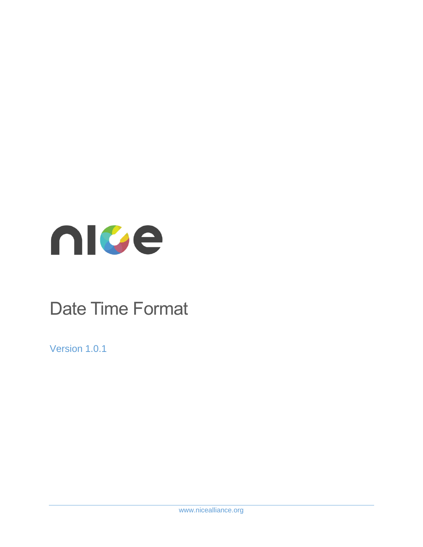

# Date Time Format

Version 1.0.1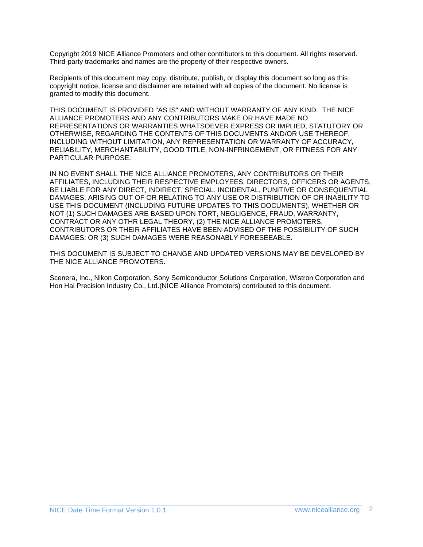Copyright 2019 NICE Alliance Promoters and other contributors to this document. All rights reserved. Third-party trademarks and names are the property of their respective owners.

Recipients of this document may copy, distribute, publish, or display this document so long as this copyright notice, license and disclaimer are retained with all copies of the document. No license is granted to modify this document.

THIS DOCUMENT IS PROVIDED "AS IS" AND WITHOUT WARRANTY OF ANY KIND. THE NICE ALLIANCE PROMOTERS AND ANY CONTRIBUTORS MAKE OR HAVE MADE NO REPRESENTATIONS OR WARRANTIES WHATSOEVER EXPRESS OR IMPLIED, STATUTORY OR OTHERWISE, REGARDING THE CONTENTS OF THIS DOCUMENTS AND/OR USE THEREOF, INCLUDING WITHOUT LIMITATION, ANY REPRESENTATION OR WARRANTY OF ACCURACY, RELIABILITY, MERCHANTABILITY, GOOD TITLE, NON-INFRINGEMENT, OR FITNESS FOR ANY PARTICULAR PURPOSE.

IN NO EVENT SHALL THE NICE ALLIANCE PROMOTERS, ANY CONTRIBUTORS OR THEIR AFFILIATES, INCLUDING THEIR RESPECTIVE EMPLOYEES, DIRECTORS, OFFICERS OR AGENTS, BE LIABLE FOR ANY DIRECT, INDIRECT, SPECIAL, INCIDENTAL, PUNITIVE OR CONSEQUENTIAL DAMAGES, ARISING OUT OF OR RELATING TO ANY USE OR DISTRIBUTION OF OR INABILITY TO USE THIS DOCUMENT (INCLUDING FUTURE UPDATES TO THIS DOCUMENTS), WHETHER OR NOT (1) SUCH DAMAGES ARE BASED UPON TORT, NEGLIGENCE, FRAUD, WARRANTY, CONTRACT OR ANY OTHR LEGAL THEORY, (2) THE NICE ALLIANCE PROMOTERS, CONTRIBUTORS OR THEIR AFFILIATES HAVE BEEN ADVISED OF THE POSSIBILITY OF SUCH DAMAGES; OR (3) SUCH DAMAGES WERE REASONABLY FORESEEABLE.

THIS DOCUMENT IS SUBJECT TO CHANGE AND UPDATED VERSIONS MAY BE DEVELOPED BY THE NICE ALLIANCE PROMOTERS.

Scenera, Inc., Nikon Corporation, Sony Semiconductor Solutions Corporation, Wistron Corporation and Hon Hai Precision Industry Co., Ltd.(NICE Alliance Promoters) contributed to this document.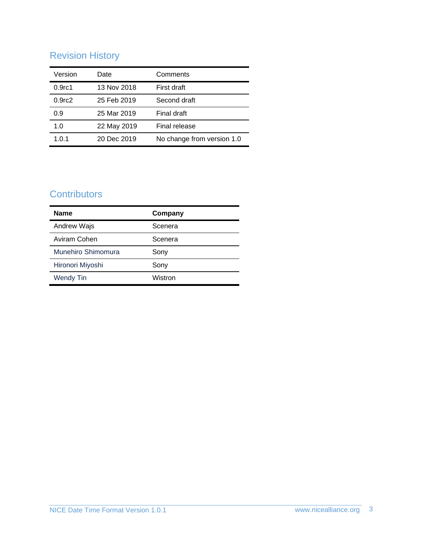# Revision History

| Version            | Date        | Comments                   |  |
|--------------------|-------------|----------------------------|--|
| 0.9 <sub>rc1</sub> | 13 Nov 2018 | First draft                |  |
| 0.9 <sub>rc2</sub> | 25 Feb 2019 | Second draft               |  |
| 0.9                | 25 Mar 2019 | Final draft                |  |
| 1.0                | 22 May 2019 | Final release              |  |
| 1.0.1              | 20 Dec 2019 | No change from version 1.0 |  |

## **Contributors**

| <b>Name</b>        | Company |  |
|--------------------|---------|--|
| Andrew Wajs        | Scenera |  |
| Aviram Cohen       | Scenera |  |
| Munehiro Shimomura | Sony    |  |
| Hironori Miyoshi   | Sony    |  |
| <b>Wendy Tin</b>   | Wistron |  |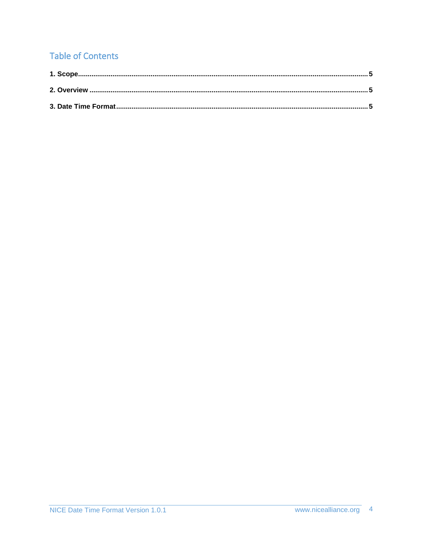# **Table of Contents**